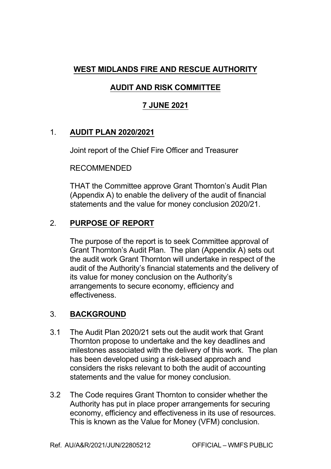## **WEST MIDLANDS FIRE AND RESCUE AUTHORITY**

# **AUDIT AND RISK COMMITTEE**

## **7 JUNE 2021**

### 1. **AUDIT PLAN 2020/2021**

Joint report of the Chief Fire Officer and Treasurer

#### RECOMMENDED

THAT the Committee approve Grant Thornton's Audit Plan (Appendix A) to enable the delivery of the audit of financial statements and the value for money conclusion 2020/21.

### 2. **PURPOSE OF REPORT**

The purpose of the report is to seek Committee approval of Grant Thornton's Audit Plan. The plan (Appendix A) sets out the audit work Grant Thornton will undertake in respect of the audit of the Authority's financial statements and the delivery of its value for money conclusion on the Authority's arrangements to secure economy, efficiency and effectiveness.

### 3. **BACKGROUND**

- 3.1 The Audit Plan 2020/21 sets out the audit work that Grant Thornton propose to undertake and the key deadlines and milestones associated with the delivery of this work. The plan has been developed using a risk-based approach and considers the risks relevant to both the audit of accounting statements and the value for money conclusion.
- 3.2 The Code requires Grant Thornton to consider whether the Authority has put in place proper arrangements for securing economy, efficiency and effectiveness in its use of resources. This is known as the Value for Money (VFM) conclusion.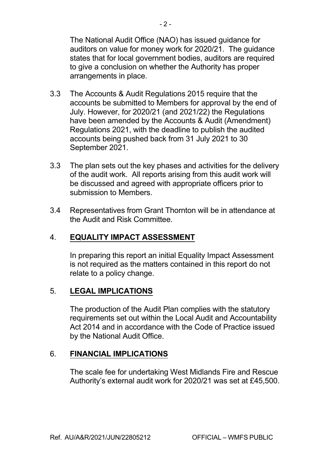The National Audit Office (NAO) has issued guidance for auditors on value for money work for 2020/21. The guidance states that for local government bodies, auditors are required to give a conclusion on whether the Authority has proper arrangements in place.

- 3.3 The Accounts & Audit Regulations 2015 require that the accounts be submitted to Members for approval by the end of July. However, for 2020/21 (and 2021/22) the Regulations have been amended by the Accounts & Audit (Amendment) Regulations 2021, with the deadline to publish the audited accounts being pushed back from 31 July 2021 to 30 September 2021.
- 3.3 The plan sets out the key phases and activities for the delivery of the audit work. All reports arising from this audit work will be discussed and agreed with appropriate officers prior to submission to Members.
- 3.4 Representatives from Grant Thornton will be in attendance at the Audit and Risk Committee.

### 4. **EQUALITY IMPACT ASSESSMENT**

In preparing this report an initial Equality Impact Assessment is not required as the matters contained in this report do not relate to a policy change.

#### 5. **LEGAL IMPLICATIONS**

The production of the Audit Plan complies with the statutory requirements set out within the Local Audit and Accountability Act 2014 and in accordance with the Code of Practice issued by the National Audit Office.

#### 6. **FINANCIAL IMPLICATIONS**

The scale fee for undertaking West Midlands Fire and Rescue Authority's external audit work for 2020/21 was set at £45,500.